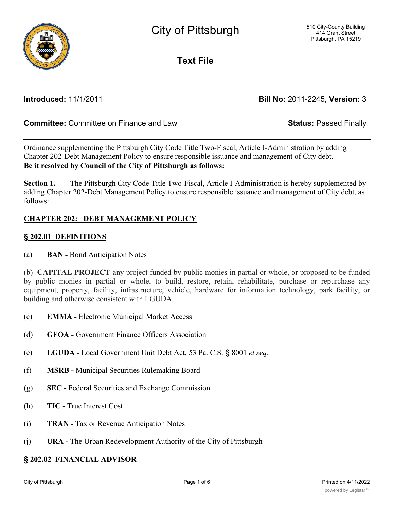

**Text File**

**Introduced:** 11/1/2011 **Bill No:** 2011-2245, **Version:** 3

# **Committee:** Committee on Finance and Law **Status:** Passed Finally

Ordinance supplementing the Pittsburgh City Code Title Two-Fiscal, Article I-Administration by adding Chapter 202-Debt Management Policy to ensure responsible issuance and management of City debt. **Be it resolved by Council of the City of Pittsburgh as follows:**

**Section 1.** The Pittsburgh City Code Title Two-Fiscal, Article I-Administration is hereby supplemented by adding Chapter 202-Debt Management Policy to ensure responsible issuance and management of City debt, as follows:

## **CHAPTER 202: DEBT MANAGEMENT POLICY**

## **§ 202.01 DEFINITIONS**

(a) **BAN -** Bond Anticipation Notes

(b) **CAPITAL PROJECT**-any project funded by public monies in partial or whole, or proposed to be funded by public monies in partial or whole, to build, restore, retain, rehabilitate, purchase or repurchase any equipment, property, facility, infrastructure, vehicle, hardware for information technology, park facility, or building and otherwise consistent with LGUDA.

- (c) **EMMA -** Electronic Municipal Market Access
- (d) **GFOA -** Government Finance Officers Association
- (e) **LGUDA -** Local Government Unit Debt Act, 53 Pa. C.S. § 8001 *et seq.*
- (f) **MSRB -** Municipal Securities Rulemaking Board
- (g) **SEC -** Federal Securities and Exchange Commission
- (h) **TIC -** True Interest Cost
- (i) **TRAN -** Tax or Revenue Anticipation Notes
- (j) **URA -** The Urban Redevelopment Authority of the City of Pittsburgh

#### **§ 202.02 FINANCIAL ADVISOR**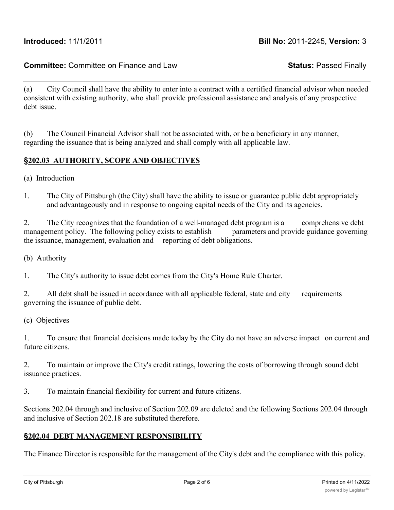# **Introduced:** 11/1/2011 **Bill No:** 2011-2245, **Version:** 3

## **Committee:** Committee on Finance and Law **Status:** Passed Finally

(a) City Council shall have the ability to enter into a contract with a certified financial advisor when needed consistent with existing authority, who shall provide professional assistance and analysis of any prospective debt issue.

(b) The Council Financial Advisor shall not be associated with, or be a beneficiary in any manner, regarding the issuance that is being analyzed and shall comply with all applicable law.

#### **§202.03 AUTHORITY, SCOPE AND OBJECTIVES**

- (a) Introduction
- 1. The City of Pittsburgh (the City) shall have the ability to issue or guarantee public debt appropriately and advantageously and in response to ongoing capital needs of the City and its agencies.

2. The City recognizes that the foundation of a well-managed debt program is a comprehensive debt management policy. The following policy exists to establish parameters and provide guidance governing the issuance, management, evaluation and reporting of debt obligations.

(b) Authority

1. The City's authority to issue debt comes from the City's Home Rule Charter.

2. All debt shall be issued in accordance with all applicable federal, state and city requirements governing the issuance of public debt.

(c) Objectives

1. To ensure that financial decisions made today by the City do not have an adverse impact on current and future citizens.

2. To maintain or improve the City's credit ratings, lowering the costs of borrowing through sound debt issuance practices.

3. To maintain financial flexibility for current and future citizens.

Sections 202.04 through and inclusive of Section 202.09 are deleted and the following Sections 202.04 through and inclusive of Section 202.18 are substituted therefore.

#### **§202.04 DEBT MANAGEMENT RESPONSIBILITY**

The Finance Director is responsible for the management of the City's debt and the compliance with this policy.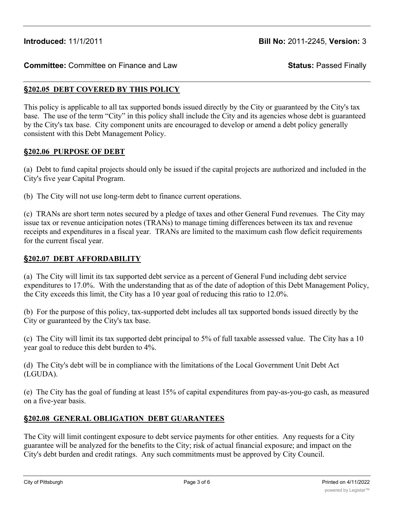#### **§202.05 DEBT COVERED BY THIS POLICY**

This policy is applicable to all tax supported bonds issued directly by the City or guaranteed by the City's tax base. The use of the term "City" in this policy shall include the City and its agencies whose debt is guaranteed by the City's tax base. City component units are encouraged to develop or amend a debt policy generally consistent with this Debt Management Policy.

#### **§202.06 PURPOSE OF DEBT**

(a) Debt to fund capital projects should only be issued if the capital projects are authorized and included in the City's five year Capital Program.

(b) The City will not use long-term debt to finance current operations.

(c) TRANs are short term notes secured by a pledge of taxes and other General Fund revenues. The City may issue tax or revenue anticipation notes (TRANs) to manage timing differences between its tax and revenue receipts and expenditures in a fiscal year. TRANs are limited to the maximum cash flow deficit requirements for the current fiscal year.

#### **§202.07 DEBT AFFORDABILITY**

(a) The City will limit its tax supported debt service as a percent of General Fund including debt service expenditures to 17.0%. With the understanding that as of the date of adoption of this Debt Management Policy, the City exceeds this limit, the City has a 10 year goal of reducing this ratio to 12.0%.

(b) For the purpose of this policy, tax-supported debt includes all tax supported bonds issued directly by the City or guaranteed by the City's tax base.

(c) The City will limit its tax supported debt principal to 5% of full taxable assessed value. The City has a 10 year goal to reduce this debt burden to 4%.

(d) The City's debt will be in compliance with the limitations of the Local Government Unit Debt Act (LGUDA).

(e) The City has the goal of funding at least 15% of capital expenditures from pay-as-you-go cash, as measured on a five-year basis.

## **§202.08 GENERAL OBLIGATION DEBT GUARANTEES**

The City will limit contingent exposure to debt service payments for other entities. Any requests for a City guarantee will be analyzed for the benefits to the City; risk of actual financial exposure; and impact on the City's debt burden and credit ratings. Any such commitments must be approved by City Council.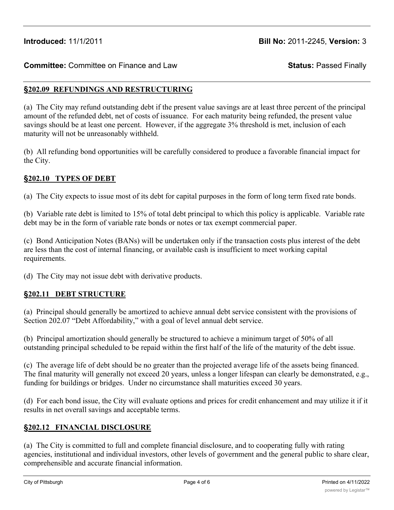#### **§202.09 REFUNDINGS AND RESTRUCTURING**

(a) The City may refund outstanding debt if the present value savings are at least three percent of the principal amount of the refunded debt, net of costs of issuance. For each maturity being refunded, the present value savings should be at least one percent. However, if the aggregate 3% threshold is met, inclusion of each maturity will not be unreasonably withheld.

(b) All refunding bond opportunities will be carefully considered to produce a favorable financial impact for the City.

#### **§202.10 TYPES OF DEBT**

(a) The City expects to issue most of its debt for capital purposes in the form of long term fixed rate bonds.

(b) Variable rate debt is limited to 15% of total debt principal to which this policy is applicable. Variable rate debt may be in the form of variable rate bonds or notes or tax exempt commercial paper.

(c) Bond Anticipation Notes (BANs) will be undertaken only if the transaction costs plus interest of the debt are less than the cost of internal financing, or available cash is insufficient to meet working capital requirements.

(d) The City may not issue debt with derivative products.

## **§202.11 DEBT STRUCTURE**

(a) Principal should generally be amortized to achieve annual debt service consistent with the provisions of Section 202.07 "Debt Affordability," with a goal of level annual debt service.

(b) Principal amortization should generally be structured to achieve a minimum target of 50% of all outstanding principal scheduled to be repaid within the first half of the life of the maturity of the debt issue.

(c) The average life of debt should be no greater than the projected average life of the assets being financed. The final maturity will generally not exceed 20 years, unless a longer lifespan can clearly be demonstrated, e.g., funding for buildings or bridges. Under no circumstance shall maturities exceed 30 years.

(d) For each bond issue, the City will evaluate options and prices for credit enhancement and may utilize it if it results in net overall savings and acceptable terms.

#### **§202.12 FINANCIAL DISCLOSURE**

(a) The City is committed to full and complete financial disclosure, and to cooperating fully with rating agencies, institutional and individual investors, other levels of government and the general public to share clear, comprehensible and accurate financial information.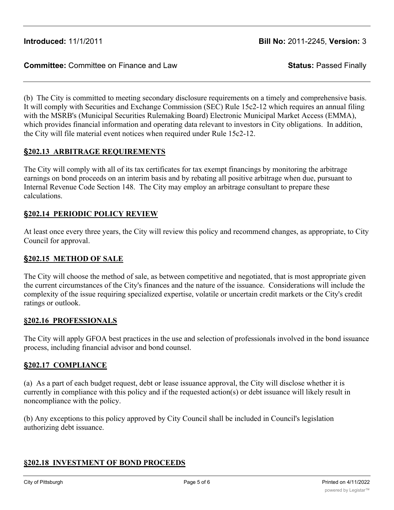(b) The City is committed to meeting secondary disclosure requirements on a timely and comprehensive basis. It will comply with Securities and Exchange Commission (SEC) Rule 15c2-12 which requires an annual filing with the MSRB's (Municipal Securities Rulemaking Board) Electronic Municipal Market Access (EMMA), which provides financial information and operating data relevant to investors in City obligations. In addition, the City will file material event notices when required under Rule 15c2-12.

# **§202.13 ARBITRAGE REQUIREMENTS**

The City will comply with all of its tax certificates for tax exempt financings by monitoring the arbitrage earnings on bond proceeds on an interim basis and by rebating all positive arbitrage when due, pursuant to Internal Revenue Code Section 148. The City may employ an arbitrage consultant to prepare these calculations.

# **§202.14 PERIODIC POLICY REVIEW**

At least once every three years, the City will review this policy and recommend changes, as appropriate, to City Council for approval.

## **§202.15 METHOD OF SALE**

The City will choose the method of sale, as between competitive and negotiated, that is most appropriate given the current circumstances of the City's finances and the nature of the issuance. Considerations will include the complexity of the issue requiring specialized expertise, volatile or uncertain credit markets or the City's credit ratings or outlook.

## **§202.16 PROFESSIONALS**

The City will apply GFOA best practices in the use and selection of professionals involved in the bond issuance process, including financial advisor and bond counsel.

## **§202.17 COMPLIANCE**

(a) As a part of each budget request, debt or lease issuance approval, the City will disclose whether it is currently in compliance with this policy and if the requested action(s) or debt issuance will likely result in noncompliance with the policy.

(b) Any exceptions to this policy approved by City Council shall be included in Council's legislation authorizing debt issuance.

# **§202.18 INVESTMENT OF BOND PROCEEDS**